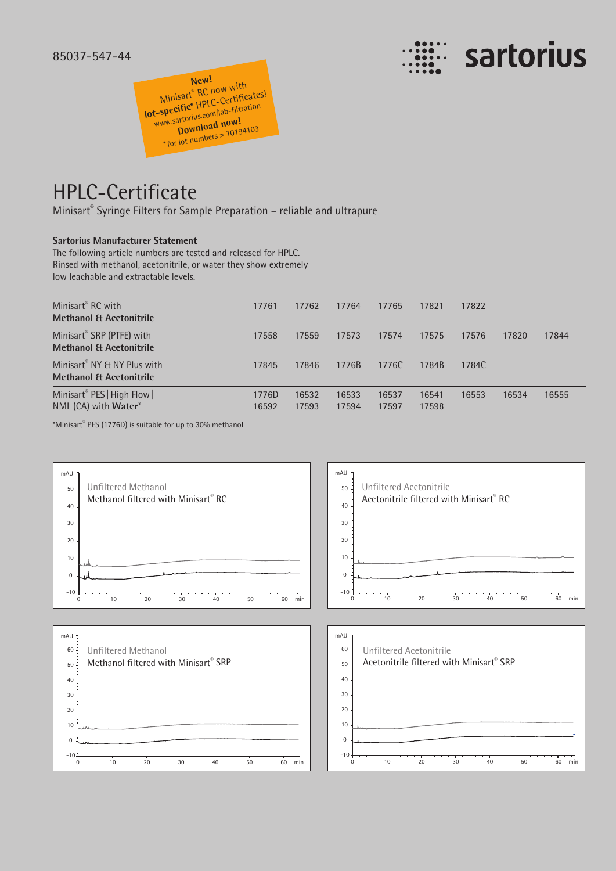



## HPLC-Certificate

Minisart® Syringe Filters for Sample Preparation – reliable and ultrapure

## **Sartorius Manufacturer Statement**

The following article numbers are tested and released for HPLC. Rinsed with methanol, acetonitrile, or water they show extremely low leachable and extractable levels.

| Minisart <sup>®</sup> RC with<br><b>Methanol &amp; Acetonitrile</b>           | 17761          | 17762          | 17764          | 17765          | 17821          | 17822 |       |       |
|-------------------------------------------------------------------------------|----------------|----------------|----------------|----------------|----------------|-------|-------|-------|
| Minisart® SRP (PTFE) with<br><b>Methanol &amp; Acetonitrile</b>               | 17558          | 17559          | 17573          | 17574          | 17575          | 17576 | 17820 | 17844 |
| Minisart <sup>®</sup> NY & NY Plus with<br><b>Methanol &amp; Acetonitrile</b> | 17845          | 17846          | 1776B          | 1776C          | 1784B          | 1784C |       |       |
| Minisart® PES   High Flow  <br>NML (CA) with <b>Water</b> *                   | 1776D<br>16592 | 16532<br>17593 | 16533<br>17594 | 16537<br>17597 | 16541<br>17598 | 16553 | 16534 | 16555 |

\*Minisart® PES (1776D) is suitable for up to 30% methanol